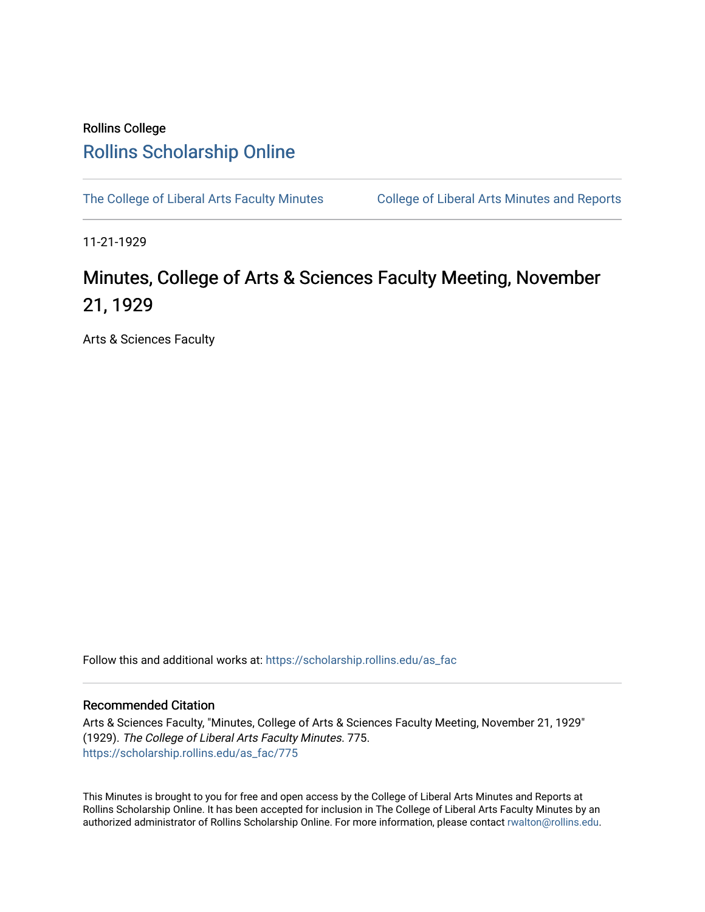## Rollins College [Rollins Scholarship Online](https://scholarship.rollins.edu/)

[The College of Liberal Arts Faculty Minutes](https://scholarship.rollins.edu/as_fac) College of Liberal Arts Minutes and Reports

11-21-1929

# Minutes, College of Arts & Sciences Faculty Meeting, November 21, 1929

Arts & Sciences Faculty

Follow this and additional works at: [https://scholarship.rollins.edu/as\\_fac](https://scholarship.rollins.edu/as_fac?utm_source=scholarship.rollins.edu%2Fas_fac%2F775&utm_medium=PDF&utm_campaign=PDFCoverPages) 

#### Recommended Citation

Arts & Sciences Faculty, "Minutes, College of Arts & Sciences Faculty Meeting, November 21, 1929" (1929). The College of Liberal Arts Faculty Minutes. 775. [https://scholarship.rollins.edu/as\\_fac/775](https://scholarship.rollins.edu/as_fac/775?utm_source=scholarship.rollins.edu%2Fas_fac%2F775&utm_medium=PDF&utm_campaign=PDFCoverPages) 

This Minutes is brought to you for free and open access by the College of Liberal Arts Minutes and Reports at Rollins Scholarship Online. It has been accepted for inclusion in The College of Liberal Arts Faculty Minutes by an authorized administrator of Rollins Scholarship Online. For more information, please contact [rwalton@rollins.edu](mailto:rwalton@rollins.edu).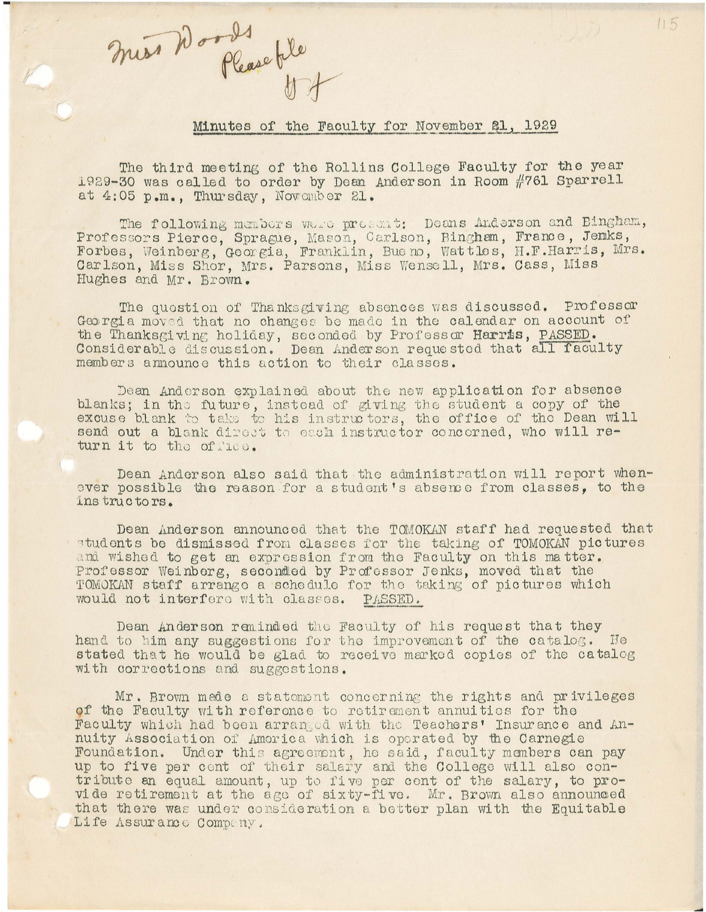miss Words Please tile

#### Minutes of the Faculty for November 21, 1929

The third meeting of the Rollins College Faculty for the year 1929-30 was called to order by Dean Anderson in Room #761 Sparrell at 4:05 p.m., Thursday, November 21.

The following members were present: Deans Anderson and Bingham, Professors Pierce, Sprague, Mason, Carlson, Bingham, France, Jenks, Forbes, Weinberg, Georgia, Franklin, Bueno, Wattles, H.F.Harris, Mrs. Carlson, Miss Shor, Mrs. Parsons, Miss Wensell, Mrs. Cass, Miss Hughes and Mr. Brown.

The question of Thanksgiving absences was discussed. Professor Georgia moved that no changes be made in the calendar on account of the Thanksgiving holiday, seconded by Professor Harris, PASSED. Considerable discussion. Dean Anderson requested that all faculty members announce this action to their classes.

Dean Anderson explained about the new application for absence blanks; in the future, instead of giving the student a copy of the excuse blank to take to his instructors, the office of the Dean will send out a blank direct to each instructor concerned, who will return it to the office.

Dean Anderson also said that the administration will report whenever possible the reason for a student's absence from classes, to the instructors.

Dean Anderson announced that the TOMOKAN staff had requested that students be dismissed from classes for the taking of TOMOKAN pictures and wished to get an expression from the Faculty on this matter. Professor Weinberg, seconded by Professor Jenks, moved that the TOMOKAN staff arrange a schedule for the taking of pictures which would not interfere with classes. PASSED.

Dean Anderson reminded the Faculty of his request that they hand to him any suggestions for the improvement of the catalog. He stated that he would be glad to receive marked copies of the catalog with corrections and suggestions.

Mr. Brown made a statement concerning the rights and privileges of the Faculty with reference to retirement annuities for the Faculty which had been arranged with the Teachers' Insurance and Annuity Association of America which is operated by the Carnegie Foundation. Under this agreement, he said, faculty members can pay up to five per cent of their salary and the College will also contribute an equal amount, up to five per cent of the salary, to provide retirement at the age of sixty-five. Mr. Brown also announced that there was under consideration a better plan with the Equitable Life Assurance Company.